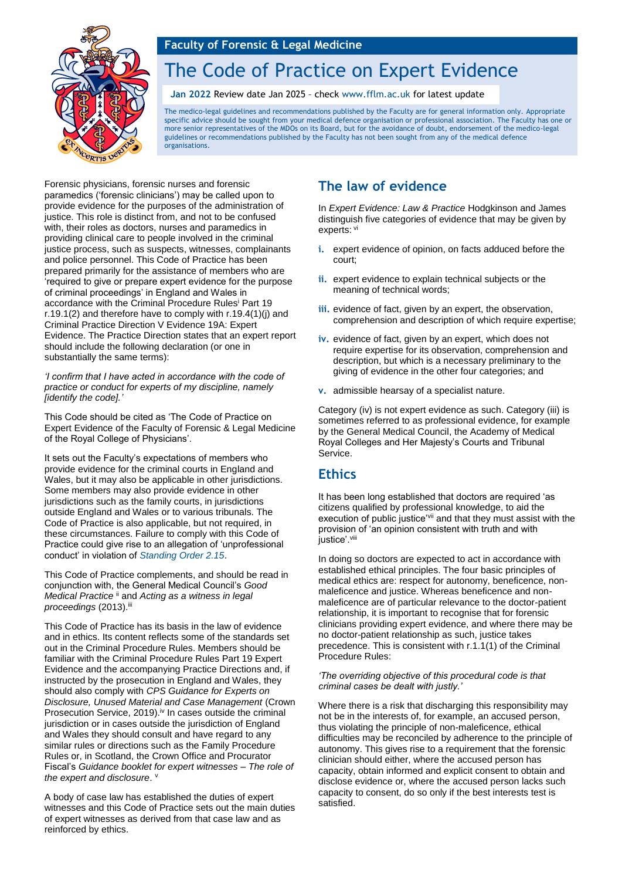

# The Code of Practice on Expert Evidence

#### **Jan 2022** Review date Jan 2025 – check [www.fflm.ac.uk](http://www.fflm.ac.uk/) for latest update

The medico-legal guidelines and recommendations published by the Faculty are for general information only. Appropriate specific advice should be sought from your medical defence organisation or professional association. The Faculty has one or more senior representatives of the MDOs on its Board, but for the avoidance of doubt, endorsement of the medico-legal guidelines or recommendations published by the Faculty has not been sought from any of the medical defence organisations.

Forensic physicians, forensic nurses and forensic paramedics ('forensic clinicians') may be called upon to provide evidence for the purposes of the administration of justice. This role is distinct from, and not to be confused with, their roles as doctors, nurses and paramedics in providing clinical care to people involved in the criminal justice process, such as suspects, witnesses, complainants and police personnel. This Code of Practice has been prepared primarily for the assistance of members who are 'required to give or prepare expert evidence for the purpose of criminal proceedings' in England and Wales in accordance with the Criminal Procedure Rules<sup>i</sup> Part 19 r.19.1(2) and therefore have to comply with r.19.4(1)(j) and Criminal Practice Direction V Evidence 19A: Expert Evidence. The Practice Direction states that an expert report should include the following declaration (or one in substantially the same terms):

*'I confirm that I have acted in accordance with the code of practice or conduct for experts of my discipline, namely [identify the code].'* 

This Code should be cited as 'The Code of Practice on Expert Evidence of the Faculty of Forensic & Legal Medicine of the Royal College of Physicians'.

It sets out the Faculty's expectations of members who provide evidence for the criminal courts in England and Wales, but it may also be applicable in other jurisdictions. Some members may also provide evidence in other jurisdictions such as the family courts, in jurisdictions outside England and Wales or to various tribunals. The Code of Practice is also applicable, but not required, in these circumstances. Failure to comply with this Code of Practice could give rise to an allegation of 'unprofessional conduct' in violation of *[Standing Order 2.15](https://fflm.ac.uk/wp-content/uploads/2021/05/FFLM-Standing-Orders-for-AGM-2021.pdf)*.

This Code of Practice complements, and should be read in conjunction with, the General Medical Council's *Good Medical Practice* ii and *Acting as a witness in legal proceedings* (2013).iii

This Code of Practice has its basis in the law of evidence and in ethics. Its content reflects some of the standards set out in the Criminal Procedure Rules. Members should be familiar with the Criminal Procedure Rules Part 19 Expert Evidence and the accompanying Practice Directions and, if instructed by the prosecution in England and Wales, they should also comply with *CPS Guidance for Experts on Disclosure, Unused Material and Case Management* (Crown Prosecution Service, 2019).<sup>iv</sup> In cases outside the criminal jurisdiction or in cases outside the jurisdiction of England and Wales they should consult and have regard to any similar rules or directions such as the Family Procedure Rules or, in Scotland, the Crown Office and Procurator Fiscal's *Guidance booklet for expert witnesses – The role of*  the expert and disclosure. V

A body of case law has established the duties of expert witnesses and this Code of Practice sets out the main duties of expert witnesses as derived from that case law and as reinforced by ethics.

## **The law of evidence**

In *Expert Evidence: Law & Practice* Hodgkinson and James distinguish five categories of evidence that may be given by experts: vi

- **i.** expert evidence of opinion, on facts adduced before the court;
- **ii.** expert evidence to explain technical subjects or the meaning of technical words;
- iii. evidence of fact, given by an expert, the observation, comprehension and description of which require expertise;
- **iv.** evidence of fact, given by an expert, which does not require expertise for its observation, comprehension and description, but which is a necessary preliminary to the giving of evidence in the other four categories; and
- **v.** admissible hearsay of a specialist nature.

Category (iv) is not expert evidence as such. Category (iii) is sometimes referred to as professional evidence, for example by the General Medical Council, the Academy of Medical Royal Colleges and Her Majesty's Courts and Tribunal Service.

## **Ethics**

It has been long established that doctors are required 'as citizens qualified by professional knowledge, to aid the execution of public justice'vii and that they must assist with the provision of 'an opinion consistent with truth and with justice'.viii

In doing so doctors are expected to act in accordance with established ethical principles. The four basic principles of medical ethics are: respect for autonomy, beneficence, nonmaleficence and justice. Whereas beneficence and nonmaleficence are of particular relevance to the doctor-patient relationship, it is important to recognise that for forensic clinicians providing expert evidence, and where there may be no doctor-patient relationship as such, justice takes precedence. This is consistent with r.1.1(1) of the Criminal Procedure Rules:

#### *'The overriding objective of this procedural code is that criminal cases be dealt with justly.'*

Where there is a risk that discharging this responsibility may not be in the interests of, for example, an accused person, thus violating the principle of non-maleficence, ethical difficulties may be reconciled by adherence to the principle of autonomy. This gives rise to a requirement that the forensic clinician should either, where the accused person has capacity, obtain informed and explicit consent to obtain and disclose evidence or, where the accused person lacks such capacity to consent, do so only if the best interests test is satisfied.